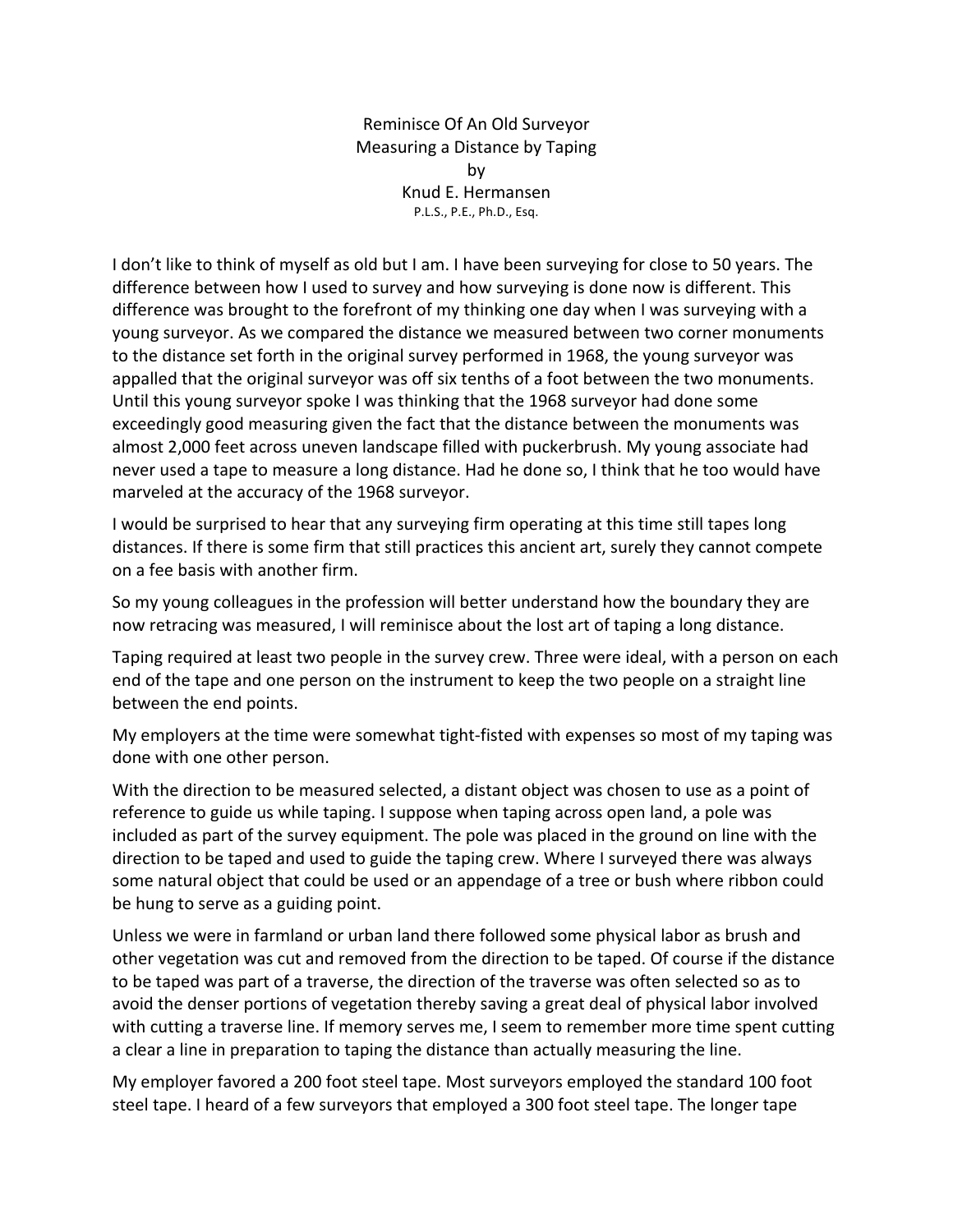Reminisce Of An Old Surveyor Measuring a Distance by Taping by Knud E. Hermansen P.L.S., P.E., Ph.D., Esq.

I don't like to think of myself as old but I am. I have been surveying for close to 50 years. The difference between how I used to survey and how surveying is done now is different. This difference was brought to the forefront of my thinking one day when I was surveying with a young surveyor. As we compared the distance we measured between two corner monuments to the distance set forth in the original survey performed in 1968, the young surveyor was appalled that the original surveyor was off six tenths of a foot between the two monuments. Until this young surveyor spoke I was thinking that the 1968 surveyor had done some exceedingly good measuring given the fact that the distance between the monuments was almost 2,000 feet across uneven landscape filled with puckerbrush. My young associate had never used a tape to measure a long distance. Had he done so, I think that he too would have marveled at the accuracy of the 1968 surveyor.

I would be surprised to hear that any surveying firm operating at this time still tapes long distances. If there is some firm that still practices this ancient art, surely they cannot compete on a fee basis with another firm.

So my young colleagues in the profession will better understand how the boundary they are now retracing was measured, I will reminisce about the lost art of taping a long distance.

Taping required at least two people in the survey crew. Three were ideal, with a person on each end of the tape and one person on the instrument to keep the two people on a straight line between the end points.

My employers at the time were somewhat tight-fisted with expenses so most of my taping was done with one other person.

With the direction to be measured selected, a distant object was chosen to use as a point of reference to guide us while taping. I suppose when taping across open land, a pole was included as part of the survey equipment. The pole was placed in the ground on line with the direction to be taped and used to guide the taping crew. Where I surveyed there was always some natural object that could be used or an appendage of a tree or bush where ribbon could be hung to serve as a guiding point.

Unless we were in farmland or urban land there followed some physical labor as brush and other vegetation was cut and removed from the direction to be taped. Of course if the distance to be taped was part of a traverse, the direction of the traverse was often selected so as to avoid the denser portions of vegetation thereby saving a great deal of physical labor involved with cutting a traverse line. If memory serves me, I seem to remember more time spent cutting a clear a line in preparation to taping the distance than actually measuring the line.

My employer favored a 200 foot steel tape. Most surveyors employed the standard 100 foot steel tape. I heard of a few surveyors that employed a 300 foot steel tape. The longer tape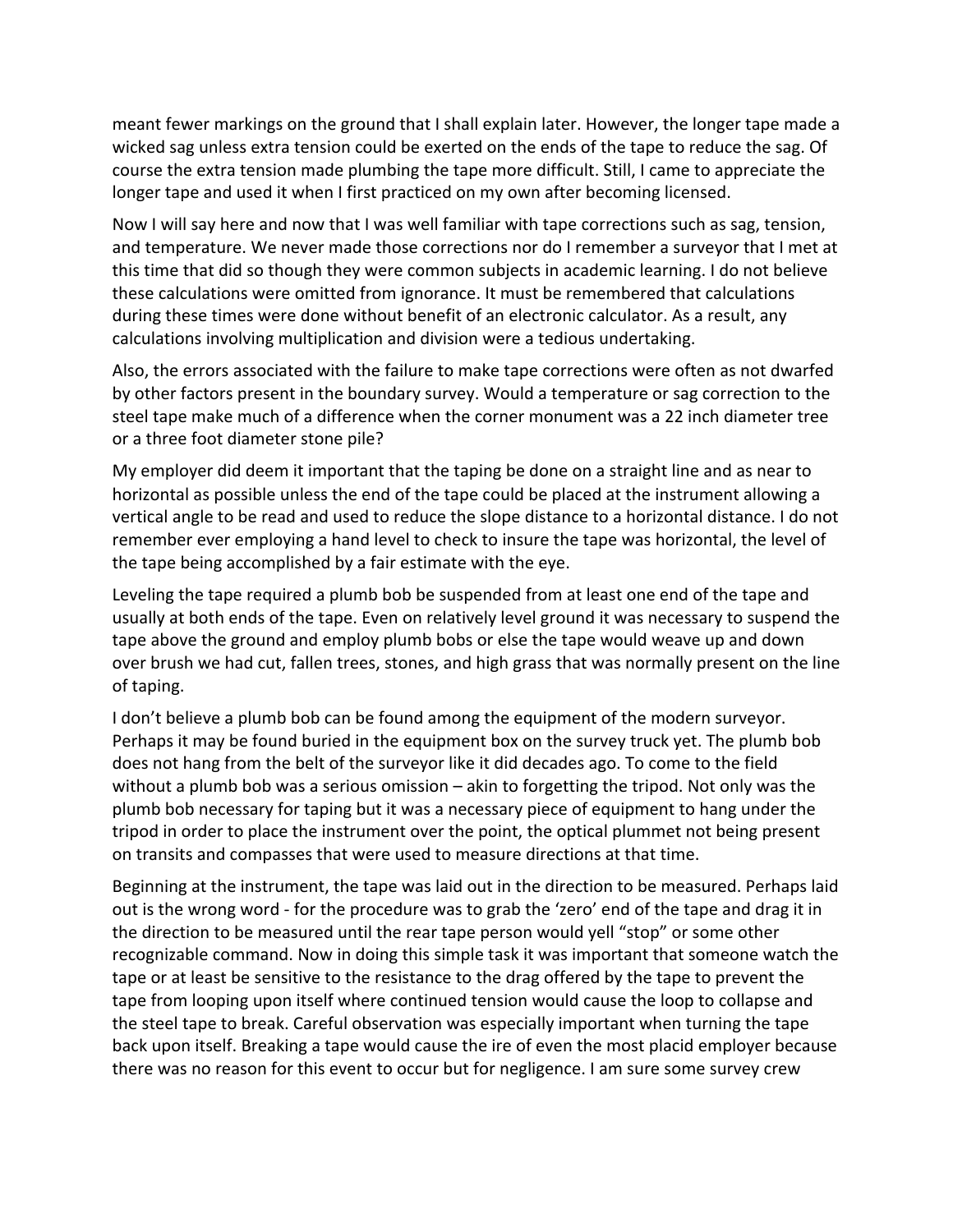meant fewer markings on the ground that I shall explain later. However, the longer tape made a wicked sag unless extra tension could be exerted on the ends of the tape to reduce the sag. Of course the extra tension made plumbing the tape more difficult. Still, I came to appreciate the longer tape and used it when I first practiced on my own after becoming licensed.

Now I will say here and now that I was well familiar with tape corrections such as sag, tension, and temperature. We never made those corrections nor do I remember a surveyor that I met at this time that did so though they were common subjects in academic learning. I do not believe these calculations were omitted from ignorance. It must be remembered that calculations during these times were done without benefit of an electronic calculator. As a result, any calculations involving multiplication and division were a tedious undertaking.

Also, the errors associated with the failure to make tape corrections were often as not dwarfed by other factors present in the boundary survey. Would a temperature or sag correction to the steel tape make much of a difference when the corner monument was a 22 inch diameter tree or a three foot diameter stone pile?

My employer did deem it important that the taping be done on a straight line and as near to horizontal as possible unless the end of the tape could be placed at the instrument allowing a vertical angle to be read and used to reduce the slope distance to a horizontal distance. I do not remember ever employing a hand level to check to insure the tape was horizontal, the level of the tape being accomplished by a fair estimate with the eye.

Leveling the tape required a plumb bob be suspended from at least one end of the tape and usually at both ends of the tape. Even on relatively level ground it was necessary to suspend the tape above the ground and employ plumb bobs or else the tape would weave up and down over brush we had cut, fallen trees, stones, and high grass that was normally present on the line of taping.

I don't believe a plumb bob can be found among the equipment of the modern surveyor. Perhaps it may be found buried in the equipment box on the survey truck yet. The plumb bob does not hang from the belt of the surveyor like it did decades ago. To come to the field without a plumb bob was a serious omission  $-$  akin to forgetting the tripod. Not only was the plumb bob necessary for taping but it was a necessary piece of equipment to hang under the tripod in order to place the instrument over the point, the optical plummet not being present on transits and compasses that were used to measure directions at that time.

Beginning at the instrument, the tape was laid out in the direction to be measured. Perhaps laid out is the wrong word - for the procedure was to grab the 'zero' end of the tape and drag it in the direction to be measured until the rear tape person would yell "stop" or some other recognizable command. Now in doing this simple task it was important that someone watch the tape or at least be sensitive to the resistance to the drag offered by the tape to prevent the tape from looping upon itself where continued tension would cause the loop to collapse and the steel tape to break. Careful observation was especially important when turning the tape back upon itself. Breaking a tape would cause the ire of even the most placid employer because there was no reason for this event to occur but for negligence. I am sure some survey crew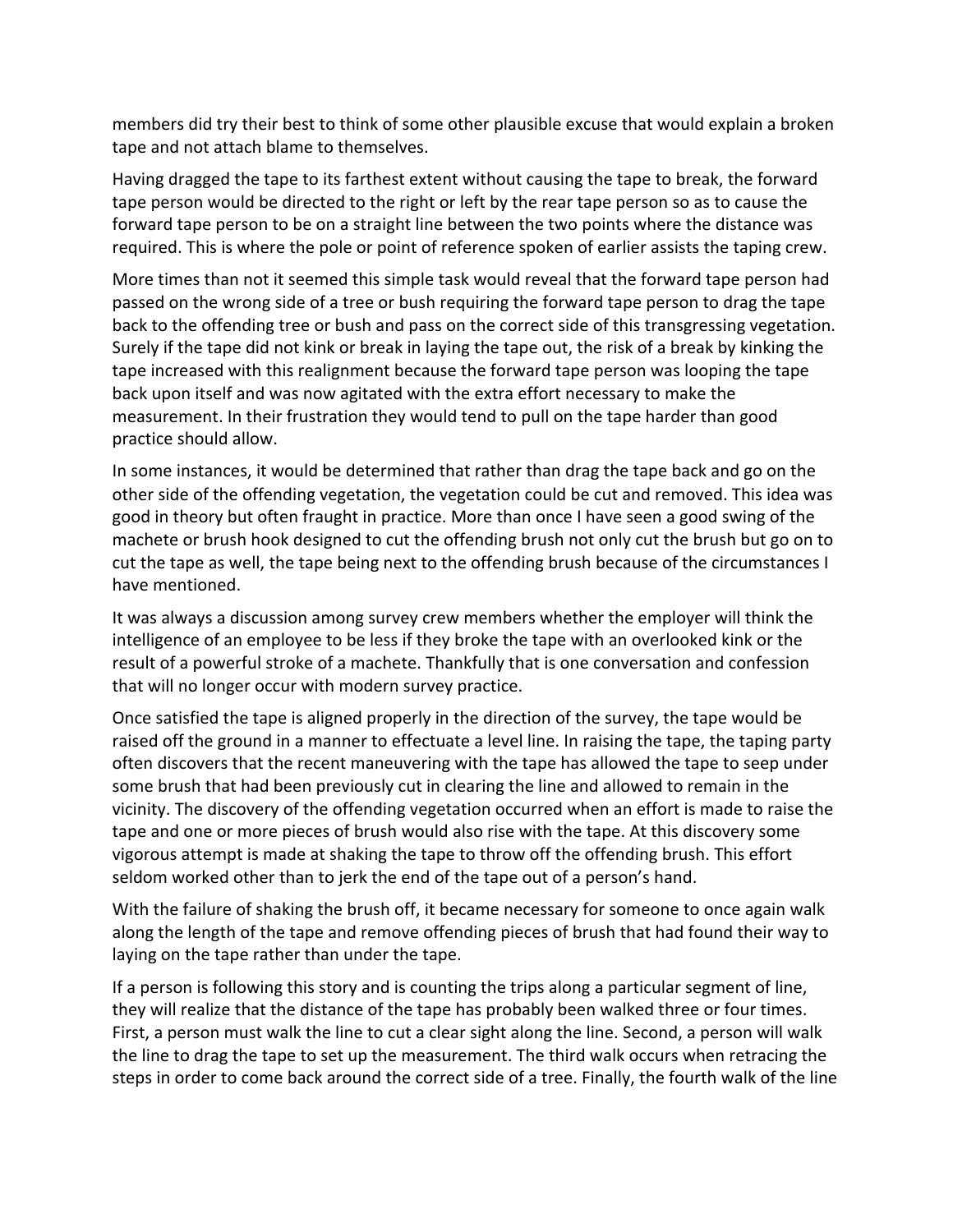members did try their best to think of some other plausible excuse that would explain a broken tape and not attach blame to themselves.

Having dragged the tape to its farthest extent without causing the tape to break, the forward tape person would be directed to the right or left by the rear tape person so as to cause the forward tape person to be on a straight line between the two points where the distance was required. This is where the pole or point of reference spoken of earlier assists the taping crew.

More times than not it seemed this simple task would reveal that the forward tape person had passed on the wrong side of a tree or bush requiring the forward tape person to drag the tape back to the offending tree or bush and pass on the correct side of this transgressing vegetation. Surely if the tape did not kink or break in laying the tape out, the risk of a break by kinking the tape increased with this realignment because the forward tape person was looping the tape back upon itself and was now agitated with the extra effort necessary to make the measurement. In their frustration they would tend to pull on the tape harder than good practice should allow.

In some instances, it would be determined that rather than drag the tape back and go on the other side of the offending vegetation, the vegetation could be cut and removed. This idea was good in theory but often fraught in practice. More than once I have seen a good swing of the machete or brush hook designed to cut the offending brush not only cut the brush but go on to cut the tape as well, the tape being next to the offending brush because of the circumstances I have mentioned.

It was always a discussion among survey crew members whether the employer will think the intelligence of an employee to be less if they broke the tape with an overlooked kink or the result of a powerful stroke of a machete. Thankfully that is one conversation and confession that will no longer occur with modern survey practice.

Once satisfied the tape is aligned properly in the direction of the survey, the tape would be raised off the ground in a manner to effectuate a level line. In raising the tape, the taping party often discovers that the recent maneuvering with the tape has allowed the tape to seep under some brush that had been previously cut in clearing the line and allowed to remain in the vicinity. The discovery of the offending vegetation occurred when an effort is made to raise the tape and one or more pieces of brush would also rise with the tape. At this discovery some vigorous attempt is made at shaking the tape to throw off the offending brush. This effort seldom worked other than to jerk the end of the tape out of a person's hand.

With the failure of shaking the brush off, it became necessary for someone to once again walk along the length of the tape and remove offending pieces of brush that had found their way to laying on the tape rather than under the tape.

If a person is following this story and is counting the trips along a particular segment of line, they will realize that the distance of the tape has probably been walked three or four times. First, a person must walk the line to cut a clear sight along the line. Second, a person will walk the line to drag the tape to set up the measurement. The third walk occurs when retracing the steps in order to come back around the correct side of a tree. Finally, the fourth walk of the line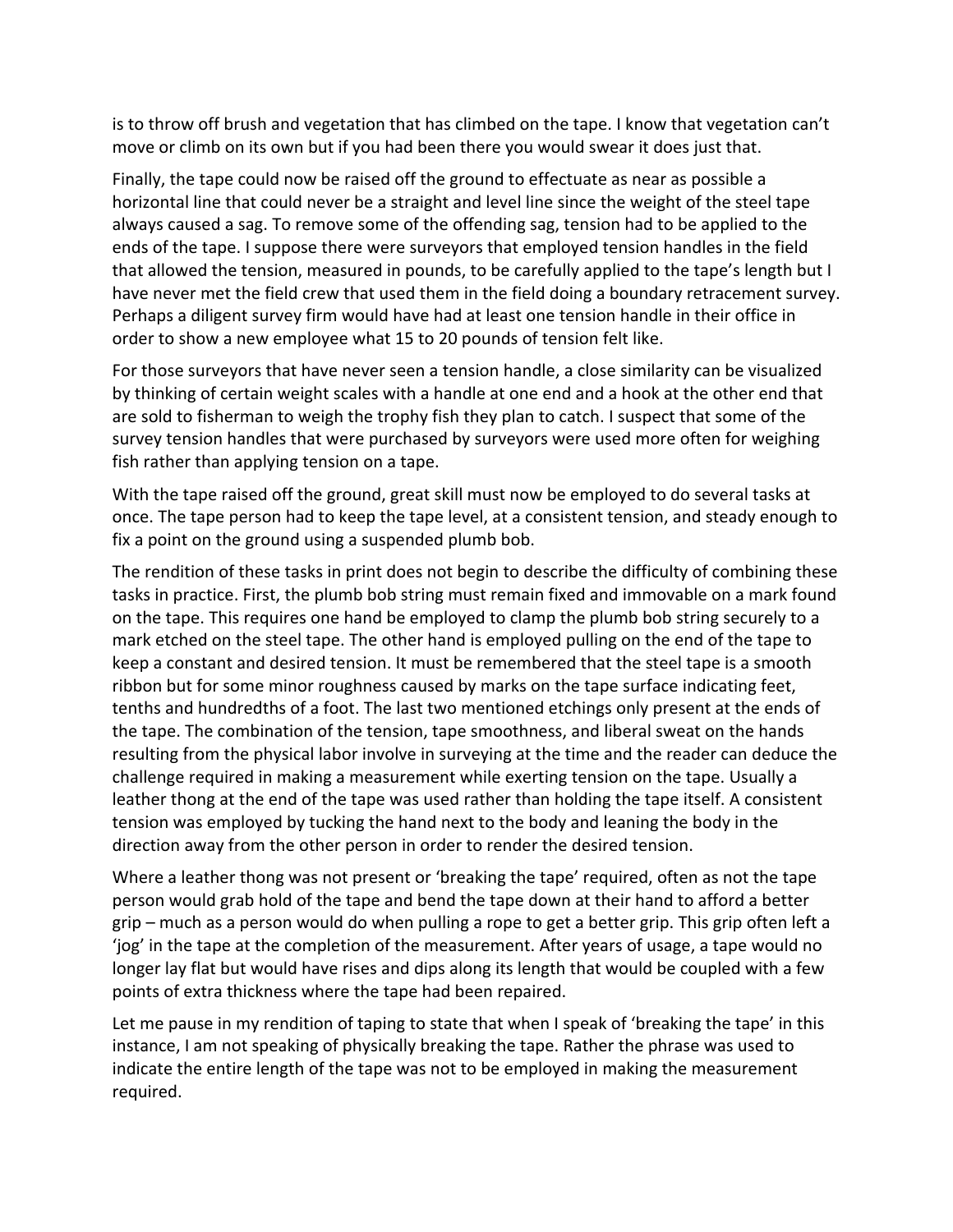is to throw off brush and vegetation that has climbed on the tape. I know that vegetation can't move or climb on its own but if you had been there you would swear it does just that.

Finally, the tape could now be raised off the ground to effectuate as near as possible a horizontal line that could never be a straight and level line since the weight of the steel tape always caused a sag. To remove some of the offending sag, tension had to be applied to the ends of the tape. I suppose there were surveyors that employed tension handles in the field that allowed the tension, measured in pounds, to be carefully applied to the tape's length but I have never met the field crew that used them in the field doing a boundary retracement survey. Perhaps a diligent survey firm would have had at least one tension handle in their office in order to show a new employee what 15 to 20 pounds of tension felt like.

For those surveyors that have never seen a tension handle, a close similarity can be visualized by thinking of certain weight scales with a handle at one end and a hook at the other end that are sold to fisherman to weigh the trophy fish they plan to catch. I suspect that some of the survey tension handles that were purchased by surveyors were used more often for weighing fish rather than applying tension on a tape.

With the tape raised off the ground, great skill must now be employed to do several tasks at once. The tape person had to keep the tape level, at a consistent tension, and steady enough to fix a point on the ground using a suspended plumb bob.

The rendition of these tasks in print does not begin to describe the difficulty of combining these tasks in practice. First, the plumb bob string must remain fixed and immovable on a mark found on the tape. This requires one hand be employed to clamp the plumb bob string securely to a mark etched on the steel tape. The other hand is employed pulling on the end of the tape to keep a constant and desired tension. It must be remembered that the steel tape is a smooth ribbon but for some minor roughness caused by marks on the tape surface indicating feet, tenths and hundredths of a foot. The last two mentioned etchings only present at the ends of the tape. The combination of the tension, tape smoothness, and liberal sweat on the hands resulting from the physical labor involve in surveying at the time and the reader can deduce the challenge required in making a measurement while exerting tension on the tape. Usually a leather thong at the end of the tape was used rather than holding the tape itself. A consistent tension was employed by tucking the hand next to the body and leaning the body in the direction away from the other person in order to render the desired tension.

Where a leather thong was not present or 'breaking the tape' required, often as not the tape person would grab hold of the tape and bend the tape down at their hand to afford a better  $grip$  – much as a person would do when pulling a rope to get a better grip. This grip often left a 'jog' in the tape at the completion of the measurement. After years of usage, a tape would no longer lay flat but would have rises and dips along its length that would be coupled with a few points of extra thickness where the tape had been repaired.

Let me pause in my rendition of taping to state that when I speak of 'breaking the tape' in this instance, I am not speaking of physically breaking the tape. Rather the phrase was used to indicate the entire length of the tape was not to be employed in making the measurement required.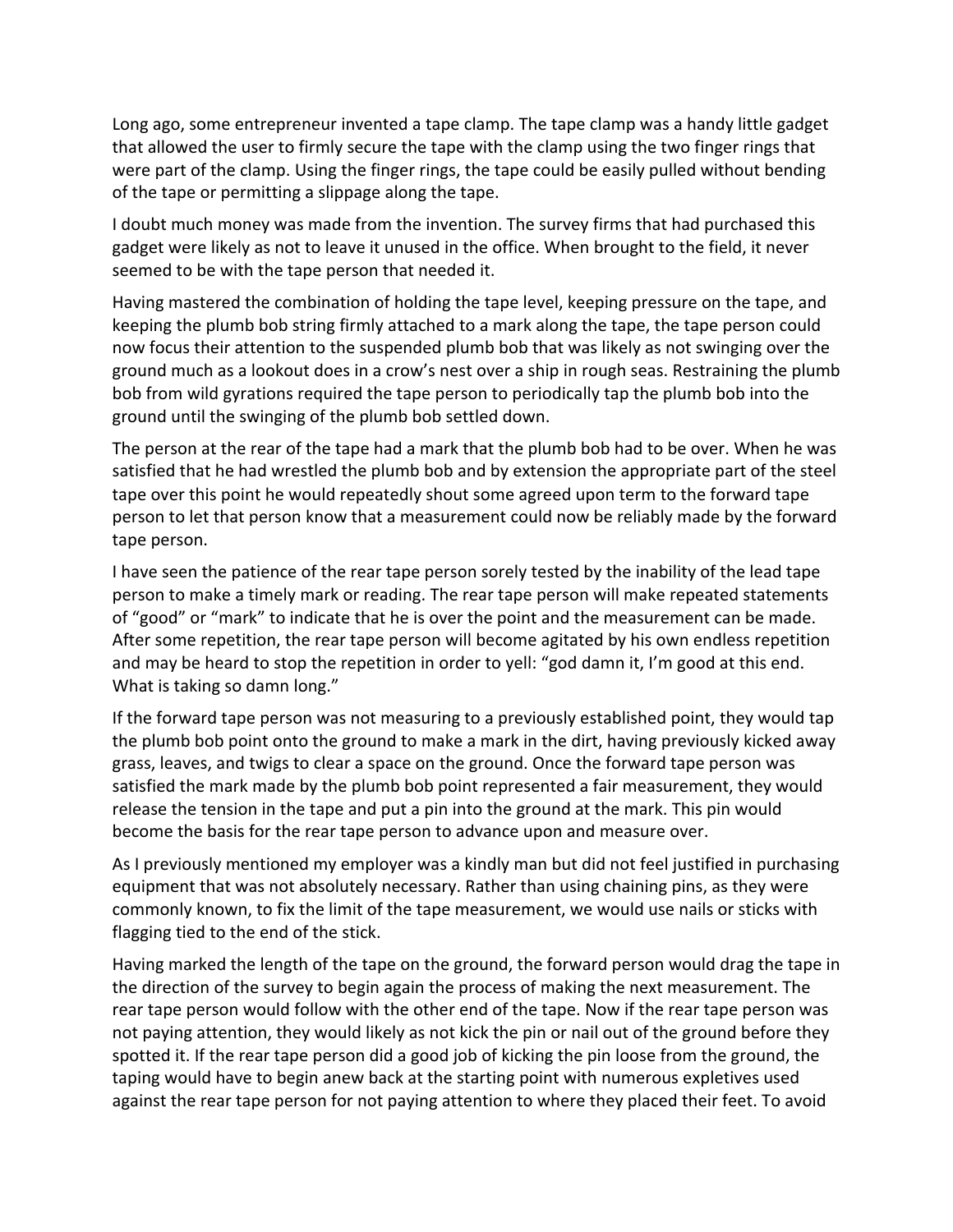Long ago, some entrepreneur invented a tape clamp. The tape clamp was a handy little gadget that allowed the user to firmly secure the tape with the clamp using the two finger rings that were part of the clamp. Using the finger rings, the tape could be easily pulled without bending of the tape or permitting a slippage along the tape.

I doubt much money was made from the invention. The survey firms that had purchased this gadget were likely as not to leave it unused in the office. When brought to the field, it never seemed to be with the tape person that needed it.

Having mastered the combination of holding the tape level, keeping pressure on the tape, and keeping the plumb bob string firmly attached to a mark along the tape, the tape person could now focus their attention to the suspended plumb bob that was likely as not swinging over the ground much as a lookout does in a crow's nest over a ship in rough seas. Restraining the plumb bob from wild gyrations required the tape person to periodically tap the plumb bob into the ground until the swinging of the plumb bob settled down.

The person at the rear of the tape had a mark that the plumb bob had to be over. When he was satisfied that he had wrestled the plumb bob and by extension the appropriate part of the steel tape over this point he would repeatedly shout some agreed upon term to the forward tape person to let that person know that a measurement could now be reliably made by the forward tape person.

I have seen the patience of the rear tape person sorely tested by the inability of the lead tape person to make a timely mark or reading. The rear tape person will make repeated statements of "good" or "mark" to indicate that he is over the point and the measurement can be made. After some repetition, the rear tape person will become agitated by his own endless repetition and may be heard to stop the repetition in order to yell: "god damn it, I'm good at this end. What is taking so damn long."

If the forward tape person was not measuring to a previously established point, they would tap the plumb bob point onto the ground to make a mark in the dirt, having previously kicked away grass, leaves, and twigs to clear a space on the ground. Once the forward tape person was satisfied the mark made by the plumb bob point represented a fair measurement, they would release the tension in the tape and put a pin into the ground at the mark. This pin would become the basis for the rear tape person to advance upon and measure over.

As I previously mentioned my employer was a kindly man but did not feel justified in purchasing equipment that was not absolutely necessary. Rather than using chaining pins, as they were commonly known, to fix the limit of the tape measurement, we would use nails or sticks with flagging tied to the end of the stick.

Having marked the length of the tape on the ground, the forward person would drag the tape in the direction of the survey to begin again the process of making the next measurement. The rear tape person would follow with the other end of the tape. Now if the rear tape person was not paying attention, they would likely as not kick the pin or nail out of the ground before they spotted it. If the rear tape person did a good job of kicking the pin loose from the ground, the taping would have to begin anew back at the starting point with numerous expletives used against the rear tape person for not paying attention to where they placed their feet. To avoid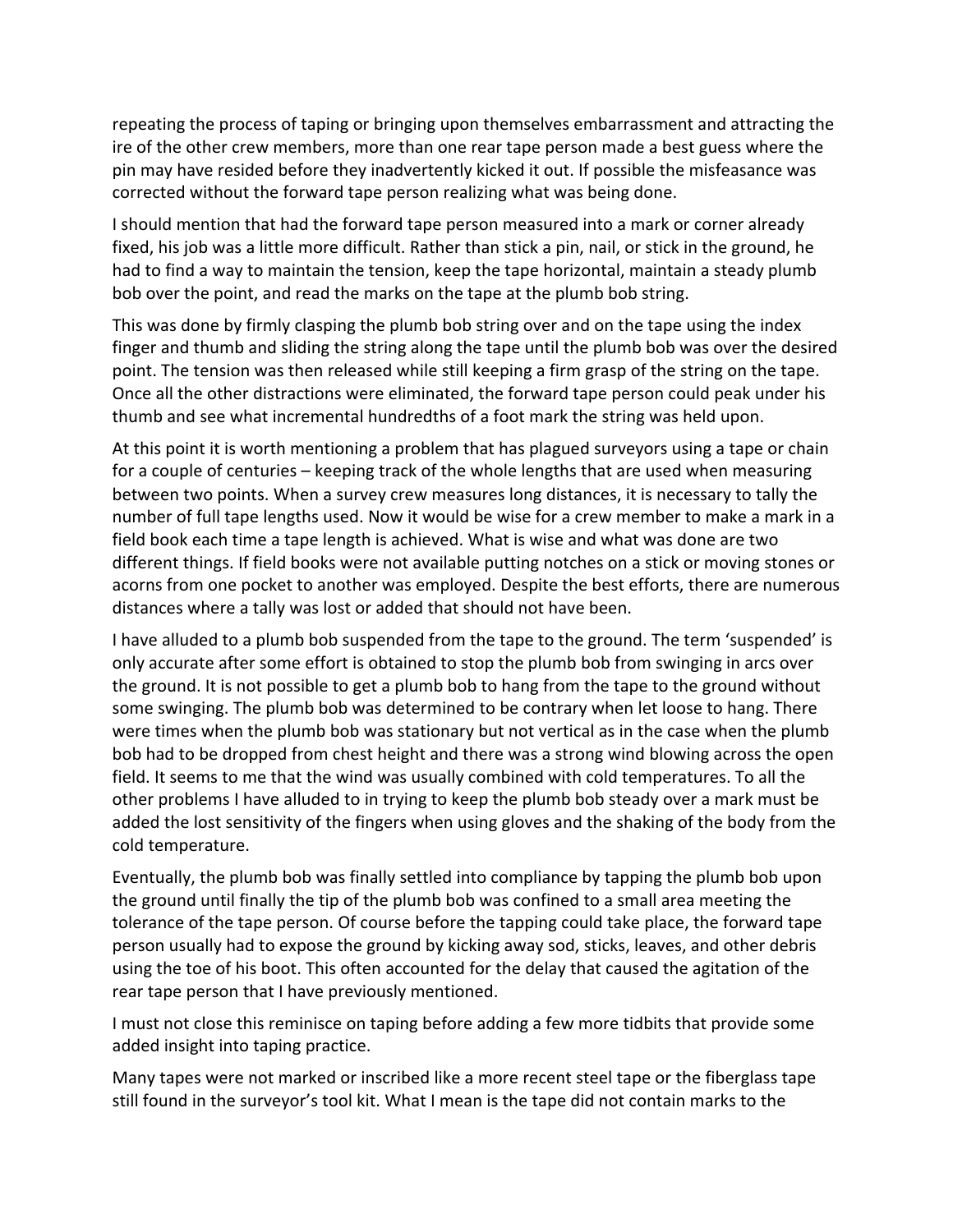repeating the process of taping or bringing upon themselves embarrassment and attracting the ire of the other crew members, more than one rear tape person made a best guess where the pin may have resided before they inadvertently kicked it out. If possible the misfeasance was corrected without the forward tape person realizing what was being done.

I should mention that had the forward tape person measured into a mark or corner already fixed, his job was a little more difficult. Rather than stick a pin, nail, or stick in the ground, he had to find a way to maintain the tension, keep the tape horizontal, maintain a steady plumb bob over the point, and read the marks on the tape at the plumb bob string.

This was done by firmly clasping the plumb bob string over and on the tape using the index finger and thumb and sliding the string along the tape until the plumb bob was over the desired point. The tension was then released while still keeping a firm grasp of the string on the tape. Once all the other distractions were eliminated, the forward tape person could peak under his thumb and see what incremental hundredths of a foot mark the string was held upon.

At this point it is worth mentioning a problem that has plagued surveyors using a tape or chain for a couple of centuries – keeping track of the whole lengths that are used when measuring between two points. When a survey crew measures long distances, it is necessary to tally the number of full tape lengths used. Now it would be wise for a crew member to make a mark in a field book each time a tape length is achieved. What is wise and what was done are two different things. If field books were not available putting notches on a stick or moving stones or acorns from one pocket to another was employed. Despite the best efforts, there are numerous distances where a tally was lost or added that should not have been.

I have alluded to a plumb bob suspended from the tape to the ground. The term 'suspended' is only accurate after some effort is obtained to stop the plumb bob from swinging in arcs over the ground. It is not possible to get a plumb bob to hang from the tape to the ground without some swinging. The plumb bob was determined to be contrary when let loose to hang. There were times when the plumb bob was stationary but not vertical as in the case when the plumb bob had to be dropped from chest height and there was a strong wind blowing across the open field. It seems to me that the wind was usually combined with cold temperatures. To all the other problems I have alluded to in trying to keep the plumb bob steady over a mark must be added the lost sensitivity of the fingers when using gloves and the shaking of the body from the cold temperature.

Eventually, the plumb bob was finally settled into compliance by tapping the plumb bob upon the ground until finally the tip of the plumb bob was confined to a small area meeting the tolerance of the tape person. Of course before the tapping could take place, the forward tape person usually had to expose the ground by kicking away sod, sticks, leaves, and other debris using the toe of his boot. This often accounted for the delay that caused the agitation of the rear tape person that I have previously mentioned.

I must not close this reminisce on taping before adding a few more tidbits that provide some added insight into taping practice.

Many tapes were not marked or inscribed like a more recent steel tape or the fiberglass tape still found in the surveyor's tool kit. What I mean is the tape did not contain marks to the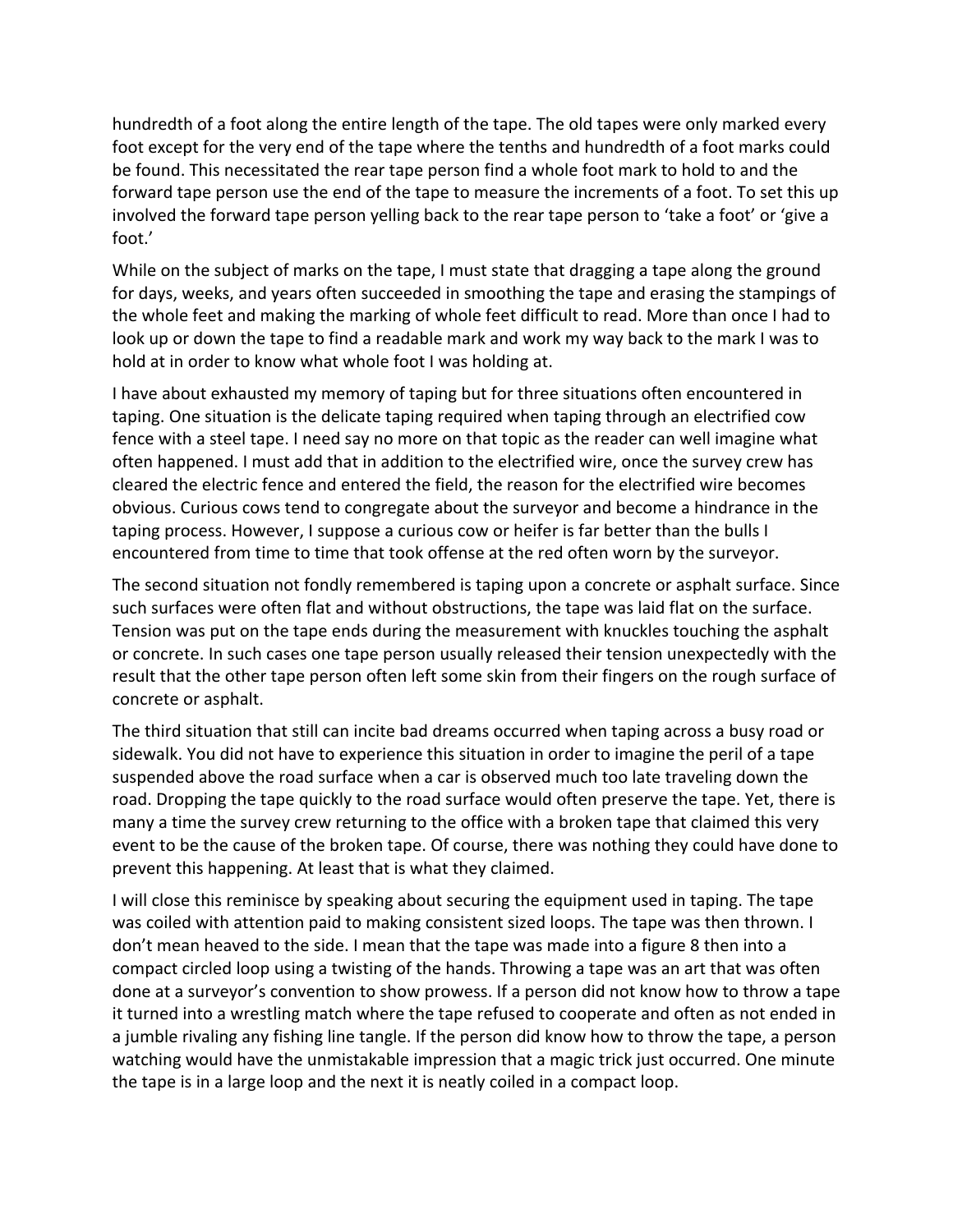hundredth of a foot along the entire length of the tape. The old tapes were only marked every foot except for the very end of the tape where the tenths and hundredth of a foot marks could be found. This necessitated the rear tape person find a whole foot mark to hold to and the forward tape person use the end of the tape to measure the increments of a foot. To set this up involved the forward tape person yelling back to the rear tape person to 'take a foot' or 'give a foot.'

While on the subject of marks on the tape, I must state that dragging a tape along the ground for days, weeks, and years often succeeded in smoothing the tape and erasing the stampings of the whole feet and making the marking of whole feet difficult to read. More than once I had to look up or down the tape to find a readable mark and work my way back to the mark I was to hold at in order to know what whole foot I was holding at.

I have about exhausted my memory of taping but for three situations often encountered in taping. One situation is the delicate taping required when taping through an electrified cow fence with a steel tape. I need say no more on that topic as the reader can well imagine what often happened. I must add that in addition to the electrified wire, once the survey crew has cleared the electric fence and entered the field, the reason for the electrified wire becomes obvious. Curious cows tend to congregate about the surveyor and become a hindrance in the taping process. However, I suppose a curious cow or heifer is far better than the bulls I encountered from time to time that took offense at the red often worn by the surveyor.

The second situation not fondly remembered is taping upon a concrete or asphalt surface. Since such surfaces were often flat and without obstructions, the tape was laid flat on the surface. Tension was put on the tape ends during the measurement with knuckles touching the asphalt or concrete. In such cases one tape person usually released their tension unexpectedly with the result that the other tape person often left some skin from their fingers on the rough surface of concrete or asphalt.

The third situation that still can incite bad dreams occurred when taping across a busy road or sidewalk. You did not have to experience this situation in order to imagine the peril of a tape suspended above the road surface when a car is observed much too late traveling down the road. Dropping the tape quickly to the road surface would often preserve the tape. Yet, there is many a time the survey crew returning to the office with a broken tape that claimed this very event to be the cause of the broken tape. Of course, there was nothing they could have done to prevent this happening. At least that is what they claimed.

I will close this reminisce by speaking about securing the equipment used in taping. The tape was coiled with attention paid to making consistent sized loops. The tape was then thrown. I don't mean heaved to the side. I mean that the tape was made into a figure 8 then into a compact circled loop using a twisting of the hands. Throwing a tape was an art that was often done at a surveyor's convention to show prowess. If a person did not know how to throw a tape it turned into a wrestling match where the tape refused to cooperate and often as not ended in a jumble rivaling any fishing line tangle. If the person did know how to throw the tape, a person watching would have the unmistakable impression that a magic trick just occurred. One minute the tape is in a large loop and the next it is neatly coiled in a compact loop.